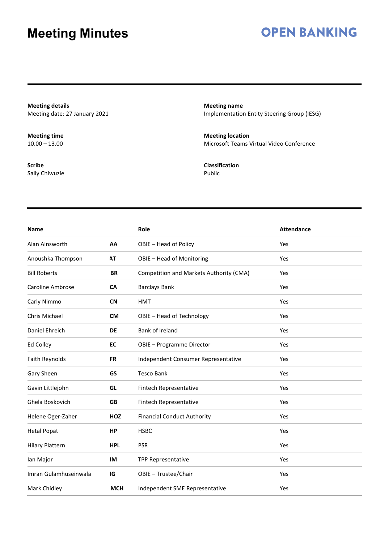### **OPEN BANKING**

**Meeting details** Meeting date: 27 January 2021

**Meeting time**  $10.00 - 13.00$ 

**Scribe** Sally Chiwuzie **Meeting name** Implementation Entity Steering Group (IESG)

**Meeting location** Microsoft Teams Virtual Video Conference

**Classification** Public

| <b>Name</b>             |            | Role                                    | <b>Attendance</b> |
|-------------------------|------------|-----------------------------------------|-------------------|
| Alan Ainsworth          | AA         | OBIE - Head of Policy                   | Yes               |
| Anoushka Thompson       | <b>AT</b>  | OBIE - Head of Monitoring               | Yes               |
| <b>Bill Roberts</b>     | <b>BR</b>  | Competition and Markets Authority (CMA) | Yes               |
| <b>Caroline Ambrose</b> | <b>CA</b>  | <b>Barclays Bank</b>                    | Yes               |
| Carly Nimmo             | <b>CN</b>  | <b>HMT</b>                              | Yes               |
| Chris Michael           | <b>CM</b>  | OBIE - Head of Technology               | Yes               |
| Daniel Ehreich          | <b>DE</b>  | Bank of Ireland                         | Yes               |
| <b>Ed Colley</b>        | EC         | <b>OBIE - Programme Director</b>        | Yes               |
| Faith Reynolds          | <b>FR</b>  | Independent Consumer Representative     | Yes               |
| Gary Sheen              | GS         | <b>Tesco Bank</b>                       | Yes               |
| Gavin Littlejohn        | GL         | Fintech Representative                  | Yes               |
| Ghela Boskovich         | <b>GB</b>  | Fintech Representative                  | Yes               |
| Helene Oger-Zaher       | <b>HOZ</b> | <b>Financial Conduct Authority</b>      | Yes               |
| <b>Hetal Popat</b>      | <b>HP</b>  | <b>HSBC</b>                             | Yes               |
| <b>Hilary Plattern</b>  | <b>HPL</b> | <b>PSR</b>                              | Yes               |
| lan Major               | IM         | <b>TPP Representative</b>               | Yes               |
| Imran Gulamhuseinwala   | IG         | OBIE - Trustee/Chair                    | Yes               |
| Mark Chidley            | <b>MCH</b> | Independent SME Representative          | Yes               |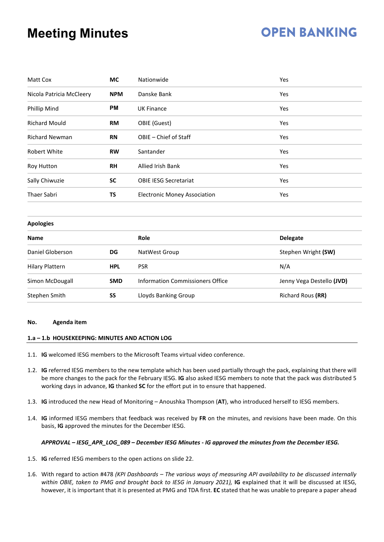# **OPEN BANKING**

| Matt Cox                 | <b>MC</b>  | Nationwide                          | <b>Yes</b> |
|--------------------------|------------|-------------------------------------|------------|
| Nicola Patricia McCleery | <b>NPM</b> | Danske Bank                         | Yes        |
| Phillip Mind             | <b>PM</b>  | <b>UK Finance</b>                   | Yes        |
| <b>Richard Mould</b>     | RM         | OBIE (Guest)                        | Yes        |
| <b>Richard Newman</b>    | <b>RN</b>  | OBIE – Chief of Staff               | Yes        |
| <b>Robert White</b>      | <b>RW</b>  | Santander                           | Yes        |
| Roy Hutton               | <b>RH</b>  | <b>Allied Irish Bank</b>            | Yes        |
| Sally Chiwuzie           | <b>SC</b>  | <b>OBIE IESG Secretariat</b>        | <b>Yes</b> |
| <b>Thaer Sabri</b>       | ΤS         | <b>Electronic Money Association</b> | Yes        |

### **Apologies**

| <b>Name</b>            |            | Role                             | <b>Delegate</b>           |  |  |
|------------------------|------------|----------------------------------|---------------------------|--|--|
| Daniel Globerson       | DG         | NatWest Group                    | Stephen Wright (SW)       |  |  |
| <b>Hilary Plattern</b> | <b>HPL</b> | <b>PSR</b>                       | N/A                       |  |  |
| Simon McDougall        | <b>SMD</b> | Information Commissioners Office | Jenny Vega Destello (JVD) |  |  |
| Stephen Smith          | SS         | Lloyds Banking Group             | Richard Rous (RR)         |  |  |

#### **No. Agenda item**

#### **1.a – 1.b HOUSEKEEPING: MINUTES AND ACTION LOG**

- 1.1. **IG** welcomed IESG members to the Microsoft Teams virtual video conference.
- 1.2. **IG** referred IESG members to the new template which has been used partially through the pack, explaining that there will be more changes to the pack for the February IESG. **IG** also asked IESG members to note that the pack was distributed 5 working days in advance, **IG** thanked **SC** for the effort put in to ensure that happened.
- 1.3. **IG** introduced the new Head of Monitoring Anoushka Thompson (**AT**), who introduced herself to IESG members.
- 1.4. **IG** informed IESG members that feedback was received by **FR** on the minutes, and revisions have been made. On this basis, **IG** approved the minutes for the December IESG.

#### *APPROVAL – IESG\_APR\_LOG\_089 – December IESG Minutes - IG approved the minutes from the December IESG.*

- 1.5. **IG** referred IESG members to the open actions on slide 22.
- 1.6. With regard to action #478 *(KPI Dashboards – The various ways of measuring API availability to be discussed internally*  within OBIE, taken to PMG and brought back to IESG in January 2021), **IG** explained that it will be discussed at IESG, however, it is important that it is presented at PMG and TDA first. **EC** stated that he was unable to prepare a paper ahead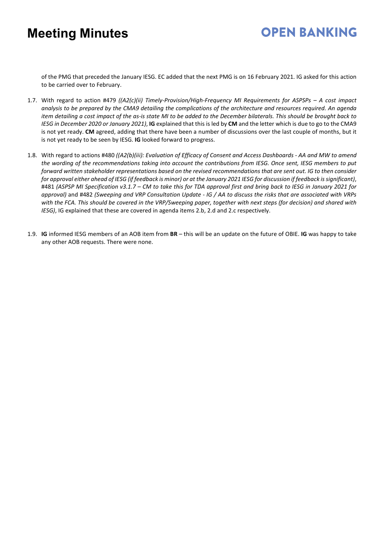# **OPEN BANKING**

of the PMG that preceded the January IESG. EC added that the next PMG is on 16 February 2021. IG asked for this action to be carried over to February.

- 1.7. With regard to action #479 *((A2(c)(ii) Timely-Provision/High-Frequency MI Requirements for ASPSPs – A cost impact analysis to be prepared by the CMA9 detailing the complications of the architecture and resources required. An agenda item detailing a cost impact of the as-is state MI to be added to the December bilaterals. This should be brought back to IESG in December 2020 or January 2021)*, **IG** explained that this is led by **CM** and the letter which is due to go to the CMA9 is not yet ready. **CM** agreed, adding that there have been a number of discussions over the last couple of months, but it is not yet ready to be seen by IESG. **IG** looked forward to progress.
- 1.8. With regard to actions #480 *((A2(b)(iii): Evaluation of Efficacy of Consent and Access Dashboards - AA and MW to amend the wording of the recommendations taking into account the contributions from IESG. Once sent, IESG members to put forward written stakeholder representations based on the revised recommendations that are sent out. IG to then consider for approval either ahead of IESG (if feedback is minor) or at the January 2021 IESG for discussion if feedback is significant)*, #481 *(ASPSP MI Specification v3.1.7 – CM to take this for TDA approval first and bring back to IESG in January 2021 for approval)* and #482 *(Sweeping and VRP Consultation Update - IG / AA to discuss the risks that are associated with VRPs with the FCA. This should be covered in the VRP/Sweeping paper, together with next steps (for decision) and shared with IESG)*, IG explained that these are covered in agenda items 2.b, 2.d and 2.c respectively.
- 1.9. **IG** informed IESG members of an AOB item from **BR** this will be an update on the future of OBIE. **IG** was happy to take any other AOB requests. There were none.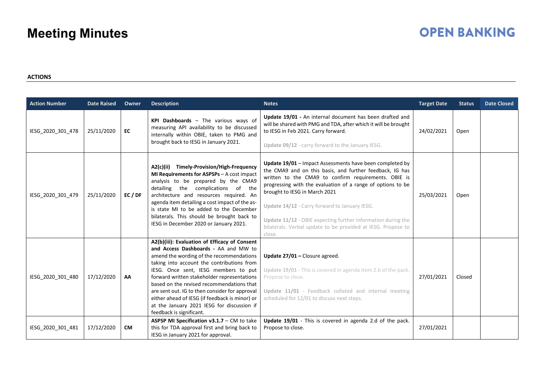# **OPEN BANKING**

### **ACTIONS**

| <b>Action Number</b> | <b>Date Raised</b> | <b>Owner</b> | <b>Description</b>                                                                                                                                                                                                                                                                                                                                                                                                                                                                                | <b>Notes</b>                                                                                                                                                                                                                                                                                                                                                                                                                                                            | <b>Target Date</b> | <b>Status</b> | <b>Date Closed</b> |
|----------------------|--------------------|--------------|---------------------------------------------------------------------------------------------------------------------------------------------------------------------------------------------------------------------------------------------------------------------------------------------------------------------------------------------------------------------------------------------------------------------------------------------------------------------------------------------------|-------------------------------------------------------------------------------------------------------------------------------------------------------------------------------------------------------------------------------------------------------------------------------------------------------------------------------------------------------------------------------------------------------------------------------------------------------------------------|--------------------|---------------|--------------------|
| IESG_2020_301_478    | 25/11/2020         | EC           | KPI Dashboards - The various ways of<br>measuring API availability to be discussed<br>internally within OBIE, taken to PMG and<br>brought back to IESG in January 2021.                                                                                                                                                                                                                                                                                                                           | Update 19/01 - An internal document has been drafted and<br>will be shared with PMG and TDA, after which it will be brought<br>to IESG in Feb 2021. Carry forward.<br>Update 09/12 - carry forward to the January IESG.                                                                                                                                                                                                                                                 | 24/02/2021         | Open          |                    |
| IESG_2020_301_479    | 25/11/2020         | EC/DF        | A2(c)(ii) Timely-Provision/High-Frequency<br>MI Requirements for ASPSPs - A cost impact<br>analysis to be prepared by the CMA9<br>detailing the complications of the<br>architecture and resources required. An<br>agenda item detailing a cost impact of the as-<br>is state MI to be added to the December<br>bilaterals. This should be brought back to<br>IESG in December 2020 or January 2021.                                                                                              | Update 19/01 - Impact Assessments have been completed by<br>the CMA9 and on this basis, and further feedback, IG has<br>written to the CMA9 to confirm requirements. OBIE is<br>progressing with the evaluation of a range of options to be<br>brought to IESG in March 2021<br>Update 14/12 - Carry forward to January IESG.<br>Update 11/12 - OBIE expecting further information during the<br>bilaterals. Verbal update to be provided at IESG. Propose to<br>close. | 25/03/2021         | Open          |                    |
| IESG 2020 301 480    | 17/12/2020         | AA           | A2(b)(iii): Evaluation of Efficacy of Consent<br>and Access Dashboards - AA and MW to<br>amend the wording of the recommendations<br>taking into account the contributions from<br>IESG. Once sent, IESG members to put<br>forward written stakeholder representations<br>based on the revised recommendations that<br>are sent out. IG to then consider for approval<br>either ahead of IESG (if feedback is minor) or<br>at the January 2021 IESG for discussion if<br>feedback is significant. | Update 27/01 - Closure agreed.<br>Update 19/01 - This is covered in agenda item 2.b of the pack.<br>Propose to close.<br>Update 11/01 - Feedback collated and internal meeting<br>scheduled for 12/01 to discuss next steps.                                                                                                                                                                                                                                            | 27/01/2021         | Closed        |                    |
| IESG 2020 301 481    | 17/12/2020         | <b>CM</b>    | ASPSP MI Specification v3.1.7 - CM to take<br>this for TDA approval first and bring back to<br>IESG in January 2021 for approval.                                                                                                                                                                                                                                                                                                                                                                 | Update 19/01 - This is covered in agenda 2.d of the pack.<br>Propose to close.                                                                                                                                                                                                                                                                                                                                                                                          | 27/01/2021         |               |                    |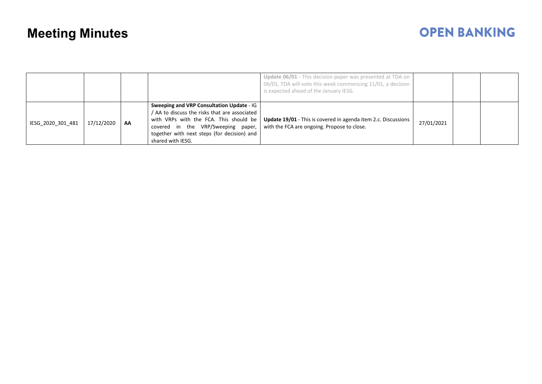# **OPEN BANKING**

|                   |            |    |                                                                                                                                                                                                                                                | Update 06/01 - This decision paper was presented at TDA on<br>06/01, TDA will vote this week commencing 11/01, a decision<br>is expected ahead of the January IESG. |            |  |
|-------------------|------------|----|------------------------------------------------------------------------------------------------------------------------------------------------------------------------------------------------------------------------------------------------|---------------------------------------------------------------------------------------------------------------------------------------------------------------------|------------|--|
| IESG 2020 301 481 | 17/12/2020 | AA | Sweeping and VRP Consultation Update - IG<br>/ AA to discuss the risks that are associated<br>with VRPs with the FCA. This should be<br>covered in the VRP/Sweeping paper,<br>together with next steps (for decision) and<br>shared with IESG. | <b>Update 19/01</b> - This is covered in agenda item 2.c. Discussions<br>with the FCA are ongoing. Propose to close.                                                | 27/01/2021 |  |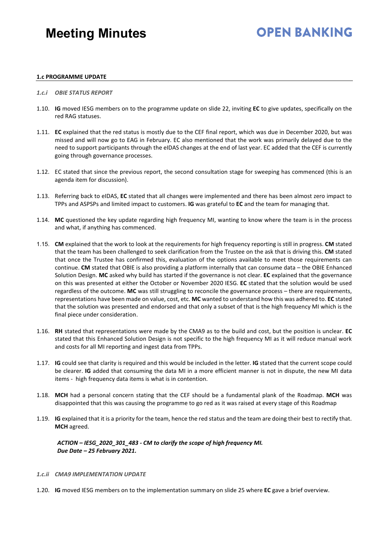### **OPEN BANKING**

#### **1.c PROGRAMME UPDATE**

- *1.c.i OBIE STATUS REPORT*
- 1.10. **IG** moved IESG members on to the programme update on slide 22, inviting **EC** to give updates, specifically on the red RAG statuses.
- 1.11. **EC** explained that the red status is mostly due to the CEF final report, which was due in December 2020, but was missed and will now go to EAG in February. EC also mentioned that the work was primarily delayed due to the need to support participants through the eIDAS changes at the end of last year. EC added that the CEF is currently going through governance processes.
- 1.12. EC stated that since the previous report, the second consultation stage for sweeping has commenced (this is an agenda item for discussion).
- 1.13. Referring back to eIDAS, **EC** stated that all changes were implemented and there has been almost zero impact to TPPs and ASPSPs and limited impact to customers. **IG** was grateful to **EC** and the team for managing that.
- 1.14. **MC** questioned the key update regarding high frequency MI, wanting to know where the team is in the process and what, if anything has commenced.
- 1.15. **CM** explained that the work to look at the requirements for high frequency reporting is still in progress. **CM** stated that the team has been challenged to seek clarification from the Trustee on the ask that is driving this. **CM** stated that once the Trustee has confirmed this, evaluation of the options available to meet those requirements can continue. **CM** stated that OBIE is also providing a platform internally that can consume data – the OBIE Enhanced Solution Design. **MC** asked why build has started if the governance is not clear. **EC** explained that the governance on this was presented at either the October or November 2020 IESG. **EC** stated that the solution would be used regardless of the outcome. **MC** was still struggling to reconcile the governance process – there are requirements, representations have been made on value, cost, etc. **MC** wanted to understand how this was adhered to. **EC** stated that the solution was presented and endorsed and that only a subset of that is the high frequency MI which is the final piece under consideration.
- 1.16. **RH** stated that representations were made by the CMA9 as to the build and cost, but the position is unclear. **EC** stated that this Enhanced Solution Design is not specific to the high frequency MI as it will reduce manual work and costs for all MI reporting and ingest data from TPPs.
- 1.17. **IG** could see that clarity is required and this would be included in the letter. **IG** stated that the current scope could be clearer. **IG** added that consuming the data MI in a more efficient manner is not in dispute, the new MI data items - high frequency data items is what is in contention.
- 1.18. **MCH** had a personal concern stating that the CEF should be a fundamental plank of the Roadmap. **MCH** was disappointed that this was causing the programme to go red as it was raised at every stage of this Roadmap
- 1.19. **IG** explained that it is a priority for the team, hence the red status and the team are doing their best to rectify that. **MCH** agreed.

*ACTION – IESG\_2020\_301\_483 - CM to clarify the scope of high frequency MI. Due Date – 25 February 2021.* 

#### *1.c.ii CMA9 IMPLEMENTATION UPDATE*

1.20. **IG** moved IESG members on to the implementation summary on slide 25 where **EC** gave a brief overview.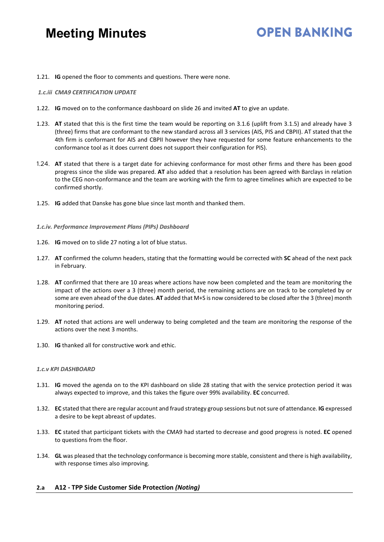## **OPEN BANKING**

1.21. **IG** opened the floor to comments and questions. There were none.

#### *1.c.iii CMA9 CERTIFICATION UPDATE*

- 1.22. **IG** moved on to the conformance dashboard on slide 26 and invited **AT** to give an update.
- 1.23. **AT** stated that this is the first time the team would be reporting on 3.1.6 (uplift from 3.1.5) and already have 3 (three) firms that are conformant to the new standard across all 3 services (AIS, PIS and CBPII). AT stated that the 4th firm is conformant for AIS and CBPII however they have requested for some feature enhancements to the conformance tool as it does current does not support their configuration for PIS).
- 1.24. **AT** stated that there is a target date for achieving conformance for most other firms and there has been good progress since the slide was prepared. **AT** also added that a resolution has been agreed with Barclays in relation to the CEG non-conformance and the team are working with the firm to agree timelines which are expected to be confirmed shortly.
- 1.25. **IG** added that Danske has gone blue since last month and thanked them.
- *1.c.iv. Performance Improvement Plans (PIPs) Dashboard*
- 1.26. **IG** moved on to slide 27 noting a lot of blue status.
- 1.27. **AT** confirmed the column headers, stating that the formatting would be corrected with **SC** ahead of the next pack in February.
- 1.28. **AT** confirmed that there are 10 areas where actions have now been completed and the team are monitoring the impact of the actions over a 3 (three) month period, the remaining actions are on track to be completed by or some are even ahead of the due dates. **AT** added that M+S is now considered to be closed after the 3 (three) month monitoring period.
- 1.29. **AT** noted that actions are well underway to being completed and the team are monitoring the response of the actions over the next 3 months.
- 1.30. **IG** thanked all for constructive work and ethic.

#### *1.c.v KPI DASHBOARD*

- 1.31. **IG** moved the agenda on to the KPI dashboard on slide 28 stating that with the service protection period it was always expected to improve, and this takes the figure over 99% availability. **EC** concurred.
- 1.32. **EC** stated that there are regular account and fraud strategy group sessions but not sure of attendance. **IG** expressed a desire to be kept abreast of updates.
- 1.33. **EC** stated that participant tickets with the CMA9 had started to decrease and good progress is noted. **EC** opened to questions from the floor.
- 1.34. **GL** was pleased that the technology conformance is becoming more stable, consistent and there is high availability, with response times also improving.

### **2.a A12 - TPP Side Customer Side Protection** *(Noting)*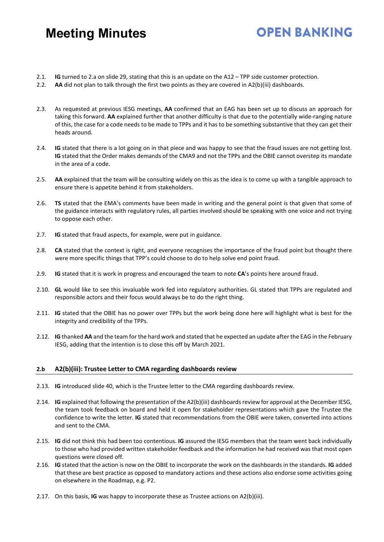### **OPEN BANKING**

- 2.1. **IG** turned to 2.a on slide 29, stating that this is an update on the A12 TPP side customer protection.
- 2.2. **AA** did not plan to talk through the first two points as they are covered in A2(b)(iii) dashboards.
- 2.3. As requested at previous IESG meetings, **AA** confirmed that an EAG has been set up to discuss an approach for taking this forward. **AA** explained further that another difficulty is that due to the potentially wide-ranging nature of this, the case for a code needs to be made to TPPs and it has to be something substantive that they can get their heads around.
- 2.4. **IG** stated that there is a lot going on in that piece and was happy to see that the fraud issues are not getting lost. **IG** stated that the Order makes demands of the CMA9 and not the TPPs and the OBIE cannot overstep its mandate in the area of a code.
- 2.5. **AA** explained that the team will be consulting widely on this as the idea is to come up with a tangible approach to ensure there is appetite behind it from stakeholders.
- 2.6. **TS** stated that the EMA's comments have been made in writing and the general point is that given that some of the guidance interacts with regulatory rules, all parties involved should be speaking with one voice and not trying to oppose each other.
- 2.7. **IG** stated that fraud aspects, for example, were put in guidance.
- 2.8. **CA** stated that the context is right, and everyone recognises the importance of the fraud point but thought there were more specific things that TPP's could choose to do to help solve end point fraud.
- 2.9. **IG** stated that it is work in progress and encouraged the team to note **CA**'s points here around fraud.
- 2.10. **GL** would like to see this invaluable work fed into regulatory authorities. GL stated that TPPs are regulated and responsible actors and their focus would always be to do the right thing.
- 2.11. **IG** stated that the OBIE has no power over TPPs but the work being done here will highlight what is best for the integrity and credibility of the TPPs.
- 2.12. **IG** thanked **AA** and the team for the hard work and stated that he expected an update after the EAG in the February IESG, adding that the intention is to close this off by March 2021.

### **2.b A2(b)(iii): Trustee Letter to CMA regarding dashboards review**

- 2.13. **IG** introduced slide 40, which is the Trustee letter to the CMA regarding dashboards review.
- 2.14. **IG** explained that following the presentation of the A2(b)(iii) dashboards review for approval at the December IESG, the team took feedback on board and held it open for stakeholder representations which gave the Trustee the confidence to write the letter. **IG** stated that recommendations from the OBIE were taken, converted into actions and sent to the CMA.
- 2.15. **IG** did not think this had been too contentious. **IG** assured the IESG members that the team went back individually to those who had provided written stakeholder feedback and the information he had received was that most open questions were closed off.
- 2.16. **IG** stated that the action is now on the OBIE to incorporate the work on the dashboards in the standards. **IG** added that these are best practice as opposed to mandatory actions and these actions also endorse some activities going on elsewhere in the Roadmap, e.g. P2.
- 2.17. On this basis, **IG** was happy to incorporate these as Trustee actions on A2(b)(iii).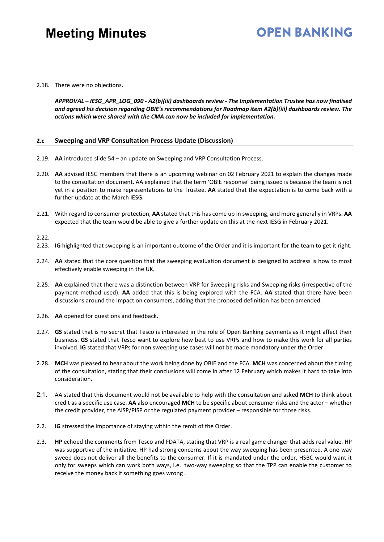### **OPEN BANKING**

2.18. There were no objections.

*APPROVAL – IESG\_APR\_LOG\_090 - A2(b)(iii) dashboards review - The Implementation Trustee has now finalised and agreed his decision regarding OBIE's recommendations for Roadmap item A2(b)(iii) dashboards review. The actions which were shared with the CMA can now be included for implementation.* 

#### **2.c Sweeping and VRP Consultation Process Update (Discussion)**

- 2.19. **AA** introduced slide 54 an update on Sweeping and VRP Consultation Process.
- 2.20. **AA** advised IESG members that there is an upcoming webinar on 02 February 2021 to explain the changes made to the consultation document. AA explained that the term 'OBIE response' being issued is because the team is not yet in a position to make representations to the Trustee. **AA** stated that the expectation is to come back with a further update at the March IESG.
- 2.21. With regard to consumer protection, **AA** stated that this has come up in sweeping, and more generally in VRPs. **AA** expected that the team would be able to give a further update on this at the next IESG in February 2021.

2.22.

- 2.23. **IG** highlighted that sweeping is an important outcome of the Order and it is important for the team to get it right.
- 2.24. **AA** stated that the core question that the sweeping evaluation document is designed to address is how to most effectively enable sweeping in the UK.
- 2.25. **AA** explained that there was a distinction between VRP for Sweeping risks and Sweeping risks (irrespective of the payment method used). **AA** added that this is being explored with the FCA. **AA** stated that there have been discussions around the impact on consumers, adding that the proposed definition has been amended.
- 2.26. **AA** opened for questions and feedback.
- 2.27. **GS** stated that is no secret that Tesco is interested in the role of Open Banking payments as it might affect their business. **GS** stated that Tesco want to explore how best to use VRPs and how to make this work for all parties involved. **IG** stated that VRPs for non sweeping use cases will not be made mandatory under the Order.
- 2.28. **MCH** was pleased to hear about the work being done by OBIE and the FCA. **MCH** was concerned about the timing of the consultation, stating that their conclusions will come in after 12 February which makes it hard to take into consideration.
- 2.1. AA stated that this document would not be available to help with the consultation and asked **MCH** to think about credit as a specific use case. **AA** also encouraged **MCH** to be specific about consumer risks and the actor – whether the credit provider, the AISP/PISP or the regulated payment provider – responsible for those risks.
- 2.2. **IG** stressed the importance of staying within the remit of the Order.
- 2.3. **HP** echoed the comments from Tesco and FDATA, stating that VRP is a real game changer that adds real value. HP was supportive of the initiative. HP had strong concerns about the way sweeping has been presented. A one-way sweep does not deliver all the benefits to the consumer. If it is mandated under the order, HSBC would want it only for sweeps which can work both ways, i.e. two-way sweeping so that the TPP can enable the customer to receive the money back if something goes wrong .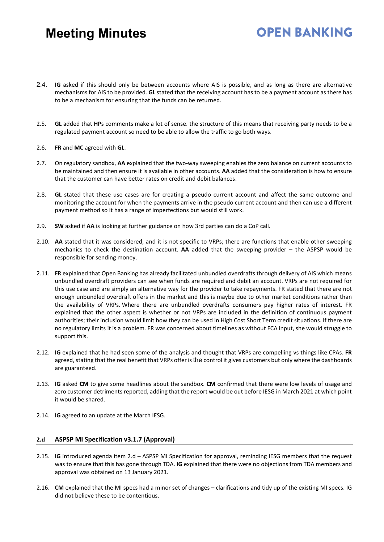2.4. **IG** asked if this should only be between accounts where AIS is possible, and as long as there are alternative mechanisms for AIS to be provided. **GL** stated that the receiving account has to be a payment account as there has to be a mechanism for ensuring that the funds can be returned.

**OPEN BANKING** 

- 2.5. **GL** added that **HP**s comments make a lot of sense. the structure of this means that receiving party needs to be a regulated payment account so need to be able to allow the traffic to go both ways.
- 2.6. **FR** and **MC** agreed with **GL**.
- 2.7. On regulatory sandbox, **AA** explained that the two-way sweeping enables the zero balance on current accounts to be maintained and then ensure it is available in other accounts. **AA** added that the consideration is how to ensure that the customer can have better rates on credit and debit balances.
- 2.8. **GL** stated that these use cases are for creating a pseudo current account and affect the same outcome and monitoring the account for when the payments arrive in the pseudo current account and then can use a different payment method so it has a range of imperfections but would still work.
- 2.9. **SW** asked if **AA** is looking at further guidance on how 3rd parties can do a CoP call.
- 2.10. **AA** stated that it was considered, and it is not specific to VRPs; there are functions that enable other sweeping mechanics to check the destination account. **AA** added that the sweeping provider – the ASPSP would be responsible for sending money.
- 2.11. FR explained that Open Banking has already facilitated unbundled overdrafts through delivery of AIS which means unbundled overdraft providers can see when funds are required and debit an account. VRPs are not required for this use case and are simply an alternative way for the provider to take repayments. FR stated that there are not enough unbundled overdraft offers in the market and this is maybe due to other market conditions rather than the availability of VRPs. Where there are unbundled overdrafts consumers pay higher rates of interest. FR explained that the other aspect is whether or not VRPs are included in the definition of continuous payment authorities; their inclusion would limit how they can be used in High Cost Short Term credit situations. If there are no regulatory limits it is a problem. FR was concerned about timelines as without FCA input, she would struggle to support this.
- 2.12. **IG** explained that he had seen some of the analysis and thought that VRPs are compelling vs things like CPAs. **FR** agreed, stating that the real benefit that VRPs offer is the control it gives customers but only where the dashboards are guaranteed.
- 2.13. **IG** asked **CM** to give some headlines about the sandbox. **CM** confirmed that there were low levels of usage and zero customer detriments reported, adding that the report would be out before IESG in March 2021 at which point it would be shared.
- 2.14. **IG** agreed to an update at the March IESG.

### **2.d ASPSP MI Specification v3.1.7 (Approval)**

- 2.15. **IG** introduced agenda item 2.d ASPSP MI Specification for approval, reminding IESG members that the request was to ensure that this has gone through TDA. **IG** explained that there were no objections from TDA members and approval was obtained on 13 January 2021.
- 2.16. **CM** explained that the MI specs had a minor set of changes clarifications and tidy up of the existing MI specs. IG did not believe these to be contentious.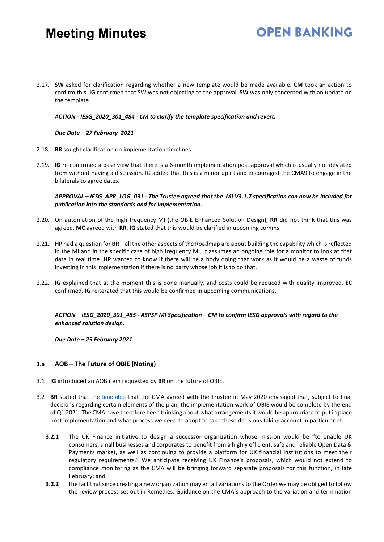# **OPEN BANKING**

2.17. **SW** asked for clarification regarding whether a new template would be made available. **CM** took an action to confirm this. **IG** confirmed that SW was not objecting to the approval. **SW** was only concerned with an update on the template.

### *ACTION - IESG\_2020\_301\_484 - CM to clarify the template specification and revert.*

### *Due Date – 27 February 2021*

- 2.18. **RR** sought clarification on implementation timelines.
- 2.19. **IG** re-confirmed a base view that there is a 6-month implementation post approval which is usually not deviated from without having a discussion. IG added that this is a minor uplift and encouraged the CMA9 to engage in the bilaterals to agree dates.

### *APPROVAL – IESG\_APR\_LOG\_091 - The Trustee agreed that the MI V3.1.7 specification can now be included for publication into the standards and for implementation.*

- 2.20. On automation of the high frequency MI (the OBIE Enhanced Solution Design), **RR** did not think that this was agreed. **MC** agreed with **RR**. **IG** stated that this would be clarified in upcoming comms.
- 2.21. **HP** had a question for **BR** all the other aspects of the Roadmap are about building the capability which is reflected in the MI and in the specific case of high frequency MI, it assumes an ongoing role for a monitor to look at that data in real time. **HP** wanted to know if there will be a body doing that work as it would be a waste of funds investing in this implementation if there is no party whose job it is to do that.
- 2.22. **IG** explained that at the moment this is done manually, and costs could be reduced with quality improved. **EC** confirmed. **IG** reiterated that this would be confirmed in upcoming communications.

*ACTION – IESG\_2020\_301\_485 - ASPSP MI Specification – CM to confirm IESG approvals with regard to the enhanced solution design.* 

*Due Date – 25 February 2021*

### **3.a AOB – The Future of OBIE (Noting)**

- 3.1 **IG** introduced an AOB item requested by **BR** on the future of OBIE.
- 3.2 **BR** stated that the [timetable](https://assets.publishing.service.gov.uk/government/uploads/system/uploads/attachment_data/file/885537/Notice_of_proposed_changes_to_the_open_banking_roadmap_-_web_publication_-_cma_gov_uk_---_May_2020_-.pdf) that the CMA agreed with the Trustee in May 2020 envisaged that, subject to final decisions regarding certain elements of the plan, the implementation work of OBIE would be complete by the end of Q1 2021. The CMA have therefore been thinking about what arrangements it would be appropriate to put in place post implementation and what process we need to adopt to take these decisions taking account in particular of:
	- **3.2.1** The UK Finance initiative to design a successor organization whose mission would be "to enable UK consumers, small businesses and corporates to benefit from a highly efficient, safe and reliable Open Data & Payments market, as well as continuing to provide a platform for UK financial institutions to meet their regulatory requirements." We anticipate receiving UK Finance's proposals, which would not extend to compliance monitoring as the CMA will be bringing forward separate proposals for this function, in late February; and
	- **3.2.2** the fact that since creating a new organization may entail variations to the Order we may be obliged to follow the review process set out in [Remedies: Guidance on the CMA's approach to the variation and termination](https://assets.publishing.service.gov.uk/government/uploads/system/uploads/attachment_data/file/453150/CMA11_Remedies_Guidance_revised_August_2015.pdf)